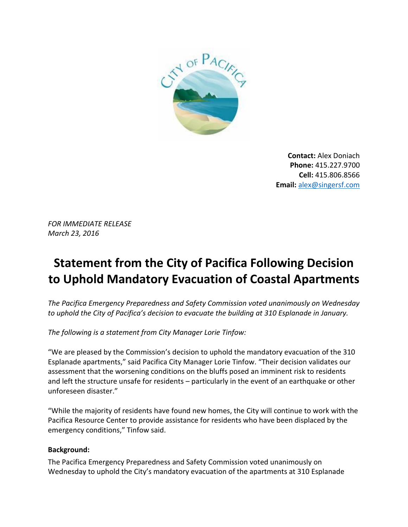

**Contact:** Alex Doniach **Phone:** 415.227.9700 **Cell:** 415.806.8566 **Email:** [alex@singersf.com](mailto:alex@singersf.com)

*FOR IMMEDIATE RELEASE March 23, 2016*

## **Statement from the City of Pacifica Following Decision to Uphold Mandatory Evacuation of Coastal Apartments**

*The Pacifica Emergency Preparedness and Safety Commission voted unanimously on Wednesday to uphold the City of Pacifica's decision to evacuate the building at 310 Esplanade in January.*

*The following is a statement from City Manager Lorie Tinfow:*

"We are pleased by the Commission's decision to uphold the mandatory evacuation of the 310 Esplanade apartments," said Pacifica City Manager Lorie Tinfow. "Their decision validates our assessment that the worsening conditions on the bluffs posed an imminent risk to residents and left the structure unsafe for residents – particularly in the event of an earthquake or other unforeseen disaster."

"While the majority of residents have found new homes, the City will continue to work with the Pacifica Resource Center to provide assistance for residents who have been displaced by the emergency conditions," Tinfow said.

## **Background:**

The Pacifica Emergency Preparedness and Safety Commission voted unanimously on Wednesday to uphold the City's mandatory evacuation of the apartments at 310 Esplanade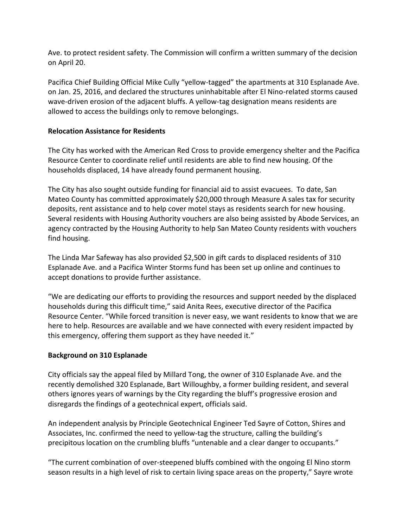Ave. to protect resident safety. The Commission will confirm a written summary of the decision on April 20.

Pacifica Chief Building Official Mike Cully "yellow-tagged" the apartments at 310 Esplanade Ave. on Jan. 25, 2016, and declared the structures uninhabitable after El Nino-related storms caused wave-driven erosion of the adjacent bluffs. A yellow-tag designation means residents are allowed to access the buildings only to remove belongings.

## **Relocation Assistance for Residents**

The City has worked with the American Red Cross to provide emergency shelter and the Pacifica Resource Center to coordinate relief until residents are able to find new housing. Of the households displaced, 14 have already found permanent housing.

The City has also sought outside funding for financial aid to assist evacuees. To date, San Mateo County has committed approximately \$20,000 through Measure A sales tax for security deposits, rent assistance and to help cover motel stays as residents search for new housing. Several residents with Housing Authority vouchers are also being assisted by Abode Services, an agency contracted by the Housing Authority to help San Mateo County residents with vouchers find housing.

The Linda Mar Safeway has also provided \$2,500 in gift cards to displaced residents of 310 Esplanade Ave. and a Pacifica Winter Storms fund has been set up online and continues to accept donations to provide further assistance.

"We are dedicating our efforts to providing the resources and support needed by the displaced households during this difficult time," said Anita Rees, executive director of the Pacifica Resource Center. "While forced transition is never easy, we want residents to know that we are here to help. Resources are available and we have connected with every resident impacted by this emergency, offering them support as they have needed it."

## **Background on 310 Esplanade**

City officials say the appeal filed by Millard Tong, the owner of 310 Esplanade Ave. and the recently demolished 320 Esplanade, Bart Willoughby, a former building resident, and several others ignores years of warnings by the City regarding the bluff's progressive erosion and disregards the findings of a geotechnical expert, officials said.

An independent analysis by Principle Geotechnical Engineer Ted Sayre of Cotton, Shires and Associates, Inc. confirmed the need to yellow-tag the structure, calling the building's precipitous location on the crumbling bluffs "untenable and a clear danger to occupants."

"The current combination of over-steepened bluffs combined with the ongoing El Nino storm season results in a high level of risk to certain living space areas on the property," Sayre wrote